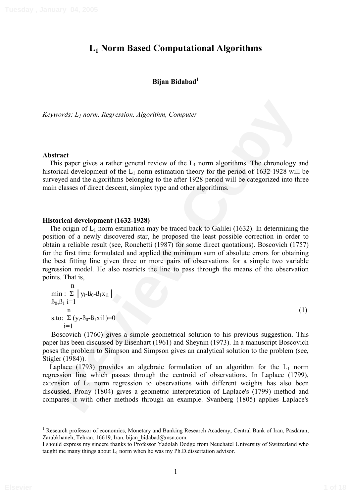# **L1 Norm Based Computational Algorithms**

# **Bijan Bidabad**<sup>1</sup>

*Keywords: L1 norm, Regression, Algorithm, Computer* 

#### **Abstract**

This paper gives a rather general review of the  $L_1$  norm algorithms. The chronology and historical development of the  $L_1$  norm estimation theory for the period of 1632-1928 will be surveyed and the algorithms belonging to the after 1928 period will be categorized into three main classes of direct descent, simplex type and other algorithms.

#### **Historical development (1632-1928)**

pyords: *L<sub>i</sub>* norm. Regression, *Algorithm*, *Computer*<br> **Rival** paper gives a rather general review of the *L<sub>i</sub>* norm algorithms. The chromology and<br>
torical development of the *L<sub>i</sub>* norm estimation theory for the per The origin of  $L_1$  norm estimation may be traced back to Galilei (1632). In determining the position of a newly discovered star, he proposed the least possible correction in order to obtain a reliable result (see, Ronchetti (1987) for some direct quotations). Boscovich (1757) for the first time formulated and applied the minimum sum of absolute errors for obtaining the best fitting line given three or more pairs of observations for a simple two variable regression model. He also restricts the line to pass through the means of the observation points. That is,

n min : 0 1yi-ß0-ß1xi11 ß0,ß1 i=1 n (1) s.to: 0 (yi-ß0-ß1xi1)=0 i=1

Boscovich (1760) gives a simple geometrical solution to his previous suggestion. This paper has been discussed by Eisenhart (1961) and Sheynin (1973). In a manuscript Boscovich poses the problem to Simpson and Simpson gives an analytical solution to the problem (see, Stigler (1984)).

Laplace (1793) provides an algebraic formulation of an algorithm for the  $L_1$  norm regression line which passes through the centroid of observations. In Laplace (1799), extension of  $L_1$  norm regression to observations with different weights has also been discussed. Prony (1804) gives a geometric interpretation of Laplace's (1799) method and compares it with other methods through an example. Svanberg (1805) applies Laplace's

<sup>1</sup> Research professor of economics, Monetary and Banking Research Academy, Central Bank of Iran, Pasdaran, Zarabkhaneh, Tehran, 16619, Iran. bijan bidabad@msn.com.

I should express my sincere thanks to Professor Yadolah Dodge from Neuchatel University of Switzerland who taught me many things about  $L_1$  norm when he was my Ph.D. dissertation advisor.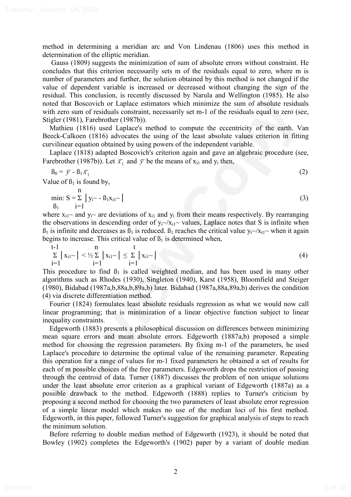method in determining a meridian arc and Von Lindenau (1806) uses this method in determination of the elliptic meridian.

Gauss (1809) suggests the minimization of sum of absolute errors without constraint. He concludes that this criterion necessarily sets m of the residuals equal to zero, where m is number of parameters and further, the solution obtained by this method is not changed if the value of dependent variable is increased or decreased without changing the sign of the residual. This conclusion, is recently discussed by Narula and Wellington (1985). He also noted that Boscovich or Laplace estimators which minimize the sum of absolute residuals with zero sum of residuals constraint, necessarily set m-1 of the residuals equal to zero (see, Stigler (1981), Farebrother (1987b)).

Mathieu (1816) used Laplace's method to compute the eccentricity of the earth. Van Beeck-Calkoen (1816) advocates the using of the least absolute values criterion in fitting curvilinear equation obtained by using powers of the independent variable.

Laplace (1818) adapted Boscovich's criterion again and gave an algebraic procedure (see, Farebrother (1987b)). Let  $\bar{x}_1$  and  $\bar{y}$  be the means of  $x_{i1}$  and  $y_i$  then,

$$
\beta_0 = \bar{y} - \beta_1 \bar{x}_1
$$
\n
$$
\text{value of } \beta_1 \text{ is found by}
$$
\n
$$
\tag{2}
$$

Value of  $\beta_1$  is found by,

min: 
$$
S = \sum_{i=1}^{n} |y_i - \beta_1 x_{i1} \rangle
$$
 (3)

where  $x_{i1}$ ~ and  $y_i$ ~ are deviations of  $x_{i1}$  and  $y_i$  from their means respectively. By rearranging the observations in descending order of  $y_i \sim x_i$  values, Laplace notes that S is infinite when  $B_1$  is infinite and decreases as  $B_1$  is reduced.  $B_1$  reaches the critical value  $y_t \sim /x_{t1} \sim$  when it again begins to increase. This critical value of  $\beta_1$  is determined when,

$$
\sum_{i=1}^{t-1} |x_{i1}^{\frown}| < \frac{1}{2} \sum_{i=1}^{n} |x_{i1}^{\frown}| \leq \sum_{i=1}^{t} |x_{i1}^{\frown}| \tag{4}
$$

This procedure to find  $B_1$  is called weighted median, and has been used in many other algorithms such as Rhodes (1930), Singleton (1940), Karst (1958), Bloomfield and Steiger (1980), Bidabad (1987a,b,88a,b,89a,b) later. Bidabad (1987a,88a,89a,b) derives the condition (4) via discrete differentiation method.

Fourier (1824) formulates least absolute residuals regression as what we would now call linear programming; that is minimization of a linear objective function subject to linear inequality constraints.

ided that Roscovich or Taplace estimators which minimize the sum of anslotte residuals<br>and the zro sum of residuals constraint, necessarily set m-1 of the residuals equal to zero (see,<br>gler (1981), Parchotther (1987b),<br>an Edgeworth (1883) presents a philosophical discussion on differences between minimizing mean square errors and mean absolute errors. Edgeworth (1887a,b) proposed a simple method for choosing the regression parameters. By fixing m-1 of the parameters, he used Laplace's procedure to determine the optimal value of the remaining parameter. Repeating this operation for a range of values for m-1 fixed parameters he obtained a set of results for each of m possible choices of the free parameters. Edgeworth drops the restriction of passing through the centroid of data. Turner (1887) discusses the problem of non unique solutions under the least absolute error criterion as a graphical variant of Edgeworth (1887a) as a possible drawback to the method. Edgeworth (1888) replies to Turner's criticism by proposing a second method for choosing the two parameters of least absolute error regression of a simple linear model which makes no use of the median loci of his first method. Edgeworth, in this paper, followed Turner's suggestion for graphical analysis of steps to reach the minimum solution.

Before referring to double median method of Edgeworth (1923), it should be noted that Bowley (1902) completes the Edgeworth's (1902) paper by a variant of double median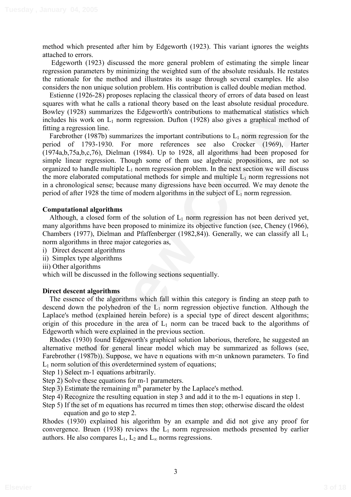method which presented after him by Edgeworth (1923). This variant ignores the weights attached to errors.

Edgeworth (1923) discussed the more general problem of estimating the simple linear regression parameters by minimizing the weighted sum of the absolute residuals. He restates the rationale for the method and illustrates its usage through several examples. He also considers the non unique solution problem. His contribution is called double median method.

Estienne (1926-28) proposes replacing the classical theory of errors of data based on least squares with what he calls a rational theory based on the least absolute residual procedure. Bowley (1928) summarizes the Edgeworth's contributions to mathematical statistics which includes his work on  $L_1$  norm regression. Dufton (1928) also gives a graphical method of fitting a regression line.

are swith what he calls a rational theory based on the least absolute residual procedure.<br>The same sying theory and the calls and the same singular statistics which<br>ing a regression line.<br>In a ratio and Latin are transmiss Farebrother (1987b) summarizes the important contributions to  $L_1$  norm regression for the period of 1793-1930. For more references see also Crocker (1969), Harter (1974a,b,75a,b,c,76), Dielman (1984). Up to 1928, all algorithms had been proposed for simple linear regression. Though some of them use algebraic propositions, are not so organized to handle multiple  $L_1$  norm regression problem. In the next section we will discuss the more elaborated computational methods for simple and multiple  $L_1$  norm regressions not in a chronological sense; because many digressions have been occurred. We may denote the period of after 1928 the time of modern algorithms in the subject of  $L_1$  norm regression.

## **Computational algorithms**

Although, a closed form of the solution of  $L_1$  norm regression has not been derived yet, many algorithms have been proposed to minimize its objective function (see, Cheney (1966), Chambers (1977), Dielman and Pfaffenberger (1982,84)). Generally, we can classify all  $L_1$ norm algorithms in three major categories as,

- i) Direct descent algorithms
- ii) Simplex type algorithms
- iii) Other algorithms

which will be discussed in the following sections sequentially.

## **Direct descent algorithms**

The essence of the algorithms which fall within this category is finding an steep path to descend down the polyhedron of the  $L_1$  norm regression objective function. Although the Laplace's method (explained herein before) is a special type of direct descent algorithms; origin of this procedure in the area of  $L_1$  norm can be traced back to the algorithms of Edgeworth which were explained in the previous section.

Rhodes (1930) found Edgeworth's graphical solution laborious, therefore, he suggested an alternative method for general linear model which may be summarized as follows (see, Farebrother (1987b)). Suppose, we have n equations with m<n unknown parameters. To find  $L_1$  norm solution of this overdetermined system of equations;

Step 1) Select m-1 equations arbitrarily.

- Step 2) Solve these equations for m-1 parameters.
- Step 3) Estimate the remaining  $m<sup>th</sup>$  parameter by the Laplace's method.
- Step 4) Recognize the resulting equation in step 3 and add it to the m-1 equations in step 1.

Step 5) If the set of m equations has recurred m times then stop; otherwise discard the oldest equation and go to step 2.

Rhodes (1930) explained his algorithm by an example and did not give any proof for convergence. Bruen (1938) reviews the  $L_1$  norm regression methods presented by earlier authors. He also compares  $L_1$ ,  $L_2$  and  $L_{\infty}$  norms regressions.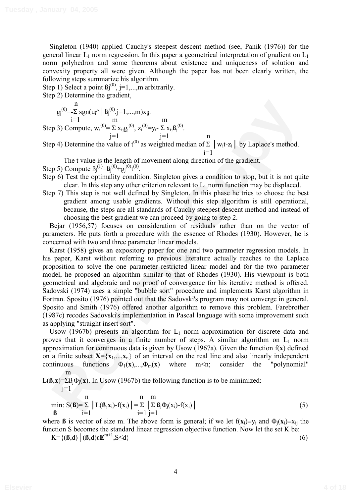Singleton (1940) applied Cauchy's steepest descent method (see, Panik (1976)) for the general linear  $L_1$  norm regression. In this paper a geometrical interpretation of gradient on  $L_1$ norm polyhedron and some theorems about existence and uniqueness of solution and convexity property all were given. Although the paper has not been clearly written, the following steps summarize his algorithm.

Step 1) Select a point  $\text{Bi}^{(0)}$ , j=1,...,m arbitrarily.

Step 2) Determine the gradient,

n

$$
g_j^{(0)} = \sum_{i=1}^{n} sgn(u_i \land \mid \beta_j^{(0)}, j=1,...,m)x_{ij}.
$$
  
Step 3) Compute,  $w_i^{(0)} = \sum x_{ij}g_j^{(0)}, z_i^{(0)} = y_i - \sum x_{ij}\beta_j^{(0)}.$   
 $j=1$ 

Step 4) Determine the value of t<sup>(0)</sup> as weighted median of  $\Sigma$  | w<sub>i</sub>t-z<sub>i</sub>| by Laplace's method.  $i=1$ 

The t value is the length of movement along direction of the gradient.

Step 5) Compute  $B_j^{(1)} = B_j^{(0)} + g_j^{(0)}t^{(0)}$ .

- Step 6) Test the optimality condition. Singleton gives a condition to stop, but it is not quite clear. In this step any other criterion relevant to  $L_1$  norm function may be displaced.
- Step 7) This step is not well defined by Singleton. In this phase he tries to choose the best gradient among usable gradients. Without this step algorithm is still operational, because, the steps are all standards of Cauchy steepest descent method and instead of choosing the best gradient we can proceed by going to step 2.

Bejar (1956,57) focuses on consideration of residuals rather than on the vector of parameters. He puts forth a procedure with the essence of Rhodes (1930). However, he is concerned with two and three parameter linear models.

 $g_1^{(0)} = \sum_{i=1}^n g_i m(x_i) \left[ B_i^{(0)} \frac{1}{j+1} \ldots m_i N_0 \right]$ <br>
pp 3) Compute,  $w_i^{(0)} = \sum_{i=1}^n g_i^{(0)}$ ,  $z_i^{(0)} = y_i - \sum_{i=1}^n g_i B_j^{(0)}$ .<br>
pp 4) Determine the value of t<sup>60</sup> as weighted median of  $\Sigma$  |  $w_i t \ll |$  by Laplace's method Karst (1958) gives an expository paper for one and two parameter regression models. In his paper, Karst without referring to previous literature actually reaches to the Laplace proposition to solve the one parameter restricted linear model and for the two parameter model, he proposed an algorithm similar to that of Rhodes (1930). His viewpoint is both geometrical and algebraic and no proof of convergence for his iterative method is offered. Sadovski (1974) uses a simple "bubble sort" procedure and implements Karst algorithm in Fortran. Sposito (1976) pointed out that the Sadovski's program may not converge in general. Sposito and Smith (1976) offered another algorithm to remove this problem. Farebrother (1987c) recodes Sadovski's implementation in Pascal language with some improvement such as applying "straight insert sort".

Usow (1967b) presents an algorithm for  $L_1$  norm approximation for discrete data and proves that it converges in a finite number of steps. A similar algorithm on  $L_1$  norm approximation for continuous data is given by Usow (1967a). Given the function f(**x**) defined on a finite subset  $X = \{x_1,...,x_n\}$  of an interval on the real line and also linearly independent continuous functions  $\Phi_1(\mathbf{x}),...,\Phi_m(\mathbf{x})$  where  $m \le n$ ; consider the "polynomial" m

 $L(\mathbf{B}, \mathbf{x}) = \sum B_i \Phi_i(\mathbf{x})$ . In Usow (1967b) the following function is to be minimized:

 $j=1$ 

$$
\min_{\mathbf{B}} S(\mathbf{B}) = \sum_{i=1}^{n} |L(\mathbf{B}, \mathbf{x}_i) - f(\mathbf{x}_i)| = \sum_{i=1}^{n} \sum_{j=1}^{m} \beta_j \Phi_j(\mathbf{x}_i) - f(\mathbf{x}_i) | \tag{5}
$$

where **ß** is vector of size m. The above form is general; if we let  $f(x_i) \equiv y_i$  and  $\Phi_i(x_i) \equiv x_i$  the function S becomes the standard linear regression objective function. Now let the set K be:

$$
K = \{(\mathbf{B}, d) \mid (\mathbf{B}, d) \in \mathbf{E}^{m+1}, S \le d\}
$$
\n
$$
(6)
$$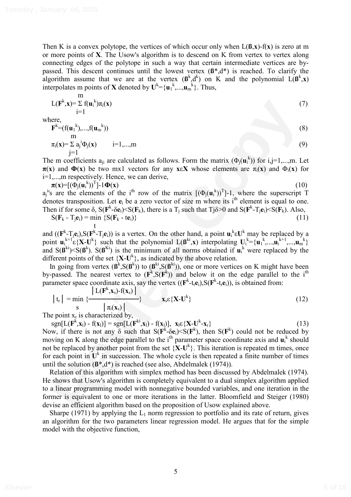Then K is a convex polytope, the vertices of which occur only when L(**ß**,**x**)-f(**x**) is zero at m or more points of **X**. The Usow's algorithm is to descend on K from vertex to vertex along connecting edges of the polytope in such a way that certain intermediate vertices are bypassed. This descent continues until the lowest vertex (**ß**\*,d\*) is reached. To clarify the algorithm assume that we are at the vertex  $(\mathbf{B}^k, \mathbf{d}^k)$  on K and the polynomial  $L(\mathbf{B}^k, \mathbf{x})$ interpolates m points of **X** denoted by  $U^k = \{u_1^k, ..., u_m^k\}$ . Thus,

$$
\lim_{i=1}^{m} \sum_{i=1}^{m} f(u_i^k) \pi_i(x) \tag{7}
$$

where,

$$
\mathbf{F}^{k} = (f(\mathbf{u}_{1}^{k}), ..., f(\mathbf{u}_{m}^{k}))
$$
  
\nm  
\n
$$
\pi_{i}(\mathbf{x}) = \sum a_{j}^{i} \Phi_{j}(\mathbf{x}) \qquad i = 1, ..., m
$$
\n(9)

The m coefficients  $a_{ji}$  are calculated as follows. Form the matrix  $(\Phi_j(\mathbf{u}_i^k))$  for i,j=1,...,m. Let  $\pi(x)$  and  $\Phi(x)$  be two mx1 vectors for any **x** $\epsilon X$  whose elements are  $\pi_i(x)$  and  $\Phi_i(x)$  for i=1,...,m respectively. Hence, we can derive,

 $\pi(\mathbf{x}) = [(\Phi_i(\mathbf{u}_i^k))^T]$  $-1\Phi(x)$  (10)  $a_j$ <sup>i</sup>'s are the elements of the i<sup>th</sup> row of the matrix  $[(\Phi_j(u_i^k))^T]-1$ , where the superscript T denotes transposition. Let  $e_i$  be a zero vector of size m where its  $i<sup>th</sup>$  element is equal to one. Then if for some  $\delta$ ,  $S(\mathbf{F}^k - \delta \mathbf{e}_i) \leq S(\mathbf{F}_k)$ , there is a T<sub>j</sub> such that Tj $\delta > 0$  and  $S(\mathbf{F}^k - T_j \mathbf{e}_i) \leq S(\mathbf{F}_k)$ . Also,

$$
S(F_k - T_j e_i) = \min_t \{S(F_k - t e_i)\}\tag{11}
$$

and  $((\mathbf{F}^k \text{-} T_j \mathbf{e}_i), S(\mathbf{F}^k \text{-} T_j \mathbf{e}_i))$  is a vertex. On the other hand, a point  $\mathbf{u}_i^k \in \mathbf{U}^k$  may be replaced by a point  $\mathbf{u}_i^{k+1} \in \{ \mathbf{X} \cdot \mathbf{U}^k \}$  such that the polynomial  $\mathbf{L}(\mathbf{B}^{k_i}, \mathbf{x})$  interpolating  $\mathbf{U}_i^{k} = {\mathbf{u}_1}^k, ..., \mathbf{u}_i^{k+1}, ..., \mathbf{u}_m^{k}$ and  $S(\mathbf{B}^{ki}) \leq S(\mathbf{B}^{ki})$ .  $S(\mathbf{B}^{ki})$  is the minimum of all norms obtained if  $\mathbf{u}_i^k$  were replaced by the different points of the set  $\{X - U^k\}$ , as indicated by the above relation.

In going from vertex  $(\mathbf{B}^k, S(\mathbf{B}^k))$  to  $(\mathbf{B}^{ki}, S(\mathbf{B}^{ki}))$ , one or more vertices on K might have been by-passed. The nearest vertex to  $(\mathbf{F}^k, \mathbf{S}(\mathbf{F}^k))$  and below it on the edge parallel to the i<sup>th</sup> parameter space coordinate axis, say the vertex  $((\mathbf{F}^k-t_i\mathbf{e}_i), S(\mathbf{F}^k-t_i\mathbf{e}_i))$ , is obtained from:

$$
|t_r| = \min_{S} \{ \frac{|L(F^k, x_s) - f(x_s)|}{|\pi_i(x_s)|} \} \qquad x_s \in \{ X - U^k \}
$$
\n(12)

The point  $x_r$  is characterized by,

 $\text{sgn}[L(\mathbf{F}^k, \mathbf{x}_1) - f(\mathbf{x}_1)] = \text{sgn}[L(\mathbf{F}^{ki}, \mathbf{x}_1) - f(\mathbf{x}_1)], \mathbf{x}_1 \in \{\mathbf{X} - \mathbf{U}^k\}$  $-{\bf x}_r$ } (13)

**F**( $P^k$ ,**y**)=  $E(\mathbf{u}_1^k)$ , $E(\mathbf{u}_2^k)$  (7)<br> **REV**<br> **REV** ( $P^k = f(\mathbf{u}_1^k)$ ,  $\mathbf{u}_2^k = \mathbf{u}_1^k \mathbf{u}_2^k$  ( $\mathbf{u}_2^k = \mathbf{u}_2^k \mathbf{u}_2^k$  ( $\mathbf{u}_3^k = \mathbf{u}_3^k \mathbf{u}_3^k$  ( $\mathbf{u}_4^k = \mathbf{u}_4^k \mathbf{u}_5^k$ ) (and **P**( $\$ Now, if there is not any  $\delta$  such that  $S(F^k - \delta e_i) \leq S(F^k)$ , then  $S(F^k)$  could not be reduced by moving on K along the edge parallel to the i<sup>th</sup> parameter space coordinate axis and  $\mathbf{u}_i^k$  should not be replaced by another point from the set  $\{X-U^k\}$ . This iteration is repeated m times, once for each point in  $U^k$  in succession. The whole cycle is then repeated a finite number of times until the solution (**ß**\*,d\*) is reached (see also, Abdelmalek (1974)).

Relation of this algorithm with simplex method has been discussed by Abdelmalek (1974). He shows that Usow's algorithm is completely equivalent to a dual simplex algorithm applied to a linear programming model with nonnegative bounded variables, and one iteration in the former is equivalent to one or more iterations in the latter. Bloomfield and Steiger (1980) devise an efficient algorithm based on the proposition of Usow explained above.

Sharpe (1971) by applying the  $L_1$  norm regression to portfolio and its rate of return, gives an algorithm for the two parameters linear regression model. He argues that for the simple model with the objective function,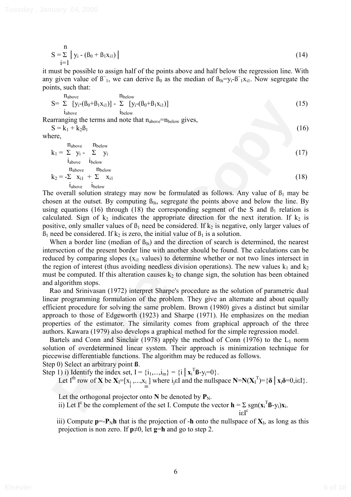$$
S = \sum_{i=1}^{n} |y_i - (\beta_0 + \beta_1 x_{i1})|
$$
 (14)

it must be possible to assign half of the points above and half below the regression line. With any given value of  $\mathfrak{B}_{1}$ , we can derive  $\mathfrak{B}_{0}$  as the median of  $\mathfrak{B}_{0i} = y_{i} - \mathfrak{B}_{1}^{0}x_{i1}$ . Now segregate the points, such that:

$$
S = \sum_{i_{above}}^{n_{above}} [y_i - (\beta_0 + \beta_1 x_{i1})] - \sum_{i_{below}} [y_i - (\beta_0 + \beta_1 x_{i1})]
$$
(15)

Rearranging the terms and note that  $n_{above}=n_{below}$  gives,  $S = k_1 + k_2 \beta_1$  (16)

where

S = 
$$
\sum [y_i - (\beta_0 + \beta_1 x_{i1})] - \sum [y_i - (\beta_0 + \beta_1 x_{i1})]
$$
 (15)  
\ni<sub>above</sub>  
\n**1**<sub>above</sub>  
\n**1**<sub>above</sub>  
\n**2**<sub>1</sub> +  $k_2\beta_1$  (16)  
\n**2**<sub>1</sub> -  $\sum y_i - \sum y_i$  (17)  
\n**2**<sub>above</sub>  
\n**1**<sub>above</sub>  
\n**1**<sub>above</sub>  
\n**1**<sub>above</sub>  
\n**1**<sub>above</sub>  
\n**1**<sub>above</sub>  
\n**1**<sub>above</sub>  
\n**1**<sub>above</sub>  
\n**1**<sub>above</sub>  
\n**1**<sub>above</sub>  
\n**1**<sub>above</sub>  
\n**1**<sub>above</sub>  
\n**1**<sub>above</sub>  
\n**1**<sub>above</sub>  
\n**1**<sub>above</sub>  
\n**1**<sub>above</sub>  
\n**1**<sub>above</sub>  
\n**1**<sub>above</sub>  
\n**1**<sub>above</sub>  
\n**1**<sub>above</sub>  
\n**1**<sub>above</sub>  
\n**1**<sub>above</sub>  
\n**1**<sub>above</sub>  
\n**1**<sub>above</sub>  
\n**1**<sub>above</sub>  
\n**1**<sub>above</sub>  
\n**1**<sub>above</sub>  
\n**1**<sub>above</sub>  
\n**1**<sub>above</sub>  
\n**1**<sub>above</sub>  
\n**1**<sub>above</sub>  
\n**1**<sub>above</sub>  
\n**1**<sub>above</sub>  
\n**1**<sub>above</sub>  
\n**1**<sub>above</sub>  
\n**1**<sub>above</sub>  
\n**1**<sub>above</sub>  
\n**1**<sub>above</sub>  
\n**1**<sub>above</sub>  
\n**1**

The overall solution strategy may now be formulated as follows. Any value of  $\beta_1$  may be chosen at the outset. By computing  $B_{0i}$ , segregate the points above and below the line. By using equations (16) through (18) the corresponding segment of the S and  $\beta_1$  relation is calculated. Sign of  $k_2$  indicates the appropriate direction for the next iteration. If  $k_2$  is positive, only smaller values of  $\beta_1$  need be considered. If  $k_2$  is negative, only larger values of  $B_1$  need be considered. If k<sub>2</sub> is zero, the initial value of  $B_1$  is a solution.

When a border line (median of  $\beta_{0i}$ ) and the direction of search is determined, the nearest intersection of the present border line with another should be found. The calculations can be reduced by comparing slopes  $(x<sub>i1</sub>$  values) to determine whether or not two lines intersect in the region of interest (thus avoiding needless division operations). The new values  $k_1$  and  $k_2$ must be computed. If this alteration causes  $k_2$  to change sign, the solution has been obtained and algorithm stops.

Rao and Srinivasan (1972) interpret Sharpe's procedure as the solution of parametric dual linear programming formulation of the problem. They give an alternate and about equally efficient procedure for solving the same problem. Brown (1980) gives a distinct but similar approach to those of Edgeworth (1923) and Sharpe (1971). He emphasizes on the median properties of the estimator. The similarity comes from graphical approach of the three authors. Kawara (1979) also develops a graphical method for the simple regression model.

Bartels and Conn and Sinclair (1978) apply the method of Conn (1976) to the  $L_1$  norm solution of overdetermined linear system. Their approach is minimization technique for piecewise differentiable functions. The algorithm may be reduced as follows. Step 0) Select an arbitrary point **ß**.

Step 1) i) Identify the index set,  $I = \{i_1,...,i_m\} = \{i \mid \mathbf{x}_i^T \mathbf{B} - y_i = 0\}$ . Let I<sup>th</sup> row of **X** be  $X_1 = [x_1, ..., x_i]$  where  $i_j \in I$  and the nullspace  $N = N(X_1^T) = {\delta | x_i \delta = 0, i \in I}$ .

Let the orthogonal projector onto  $N$  be denoted by  $P_N$ .

ii) Let I<sup>c</sup> be the complement of the set I. Compute the vector  $\mathbf{h} = \sum_{i} sgn(\mathbf{x}_i^T \mathbf{B} - y_i) \mathbf{x}_i$ . isI

iii) Compute  $p = P_N h$  that is the projection of -**h** onto the nullspace of  $X_I$ , as long as this projection is non zero. If  $p\neq 0$ , let  $q=h$  and go to step 2.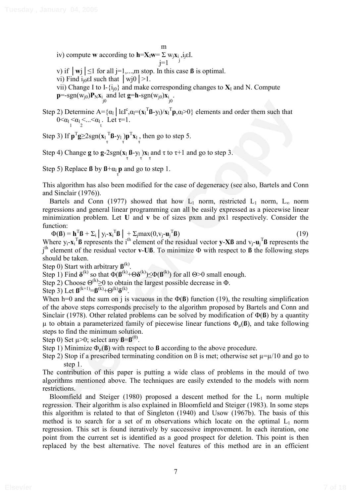m iv) compute **w** according to  $\mathbf{h} = \mathbf{X}_I \mathbf{w} = \Sigma \mathbf{w}_i \mathbf{x}_i$ , i.j.e. I.  $i=1$ 

v) if  $|\mathbf{w}|\leq1$  for all j=1,...,m stop. In this case **ß** is optimal.

vi) Find  $i_{i0}$ EI such that  $|wj0|>1$ .

vii) Change I to I- $\{i_{i0}\}$  and make corresponding changes to  $X_I$  and N. Compute  $\mathbf{p}$ =-sgn(w<sub>j0</sub>) $\mathbf{P}_N \mathbf{x}_i$  and let  $\mathbf{g}$ =**h**-sgn(w<sub>j0</sub>) $\mathbf{x}_i$  . jo

Step 2) Determine  $A = {\alpha_1 \mid \text{IG}^c, \alpha_1 = (\mathbf{x}_1^T \mathbf{B} - \mathbf{y}_1)/\mathbf{x}_1^T \mathbf{p}, \alpha_1 > 0}$  elements and order them such that  $0 \leq \alpha_1 \leq \alpha_1 \leq ... \leq \alpha_1$ . Let  $\tau=1$ .

Step 3) If  $p^T g \geq 2sgn(x_l \frac{T}{\tau} \mathbf{B} - y_l) p^T x_l$ , then go to step 5.

Step 4) Change **g** to **g**-2sgn(
$$
\mathbf{x}_1 \mathbf{B} - \mathbf{y}_1
$$
) $\mathbf{x}_1$  and  $\tau$  to  $\tau+1$  and go to step 3.

Step 5) Replace **ß** by  $\mathbf{B} + \alpha_1 \mathbf{p}$  and go to step 1.

This algorithm has also been modified for the case of degeneracy (see also, Bartels and Conn and Sinclair (1976)).

Bartels and Conn (1977) showed that how  $L_1$  norm, restricted  $L_1$  norm,  $L_{\infty}$  norm regressions and general linear programming can all be easily expressed as a piecewise linear minimization problem. Let **U** and **v** be of sizes pxm and px1 respectively. Consider the function:

 $\Phi(\mathbf{B}) = \mathbf{h}^{\mathrm{T}} \mathbf{B} + \Sigma_i \mid y_i - \mathbf{x}_i^{\mathrm{T}} \mathbf{B} \mid + \Sigma_j \max(0, v_j - \mathbf{u}_j^{\mathrm{T}})$ **ß**) (19) Where  $y_i - x_i^T B$  represents the i<sup>th</sup> element of the residual vector **y-XB** and  $v_j - u_j^T B$  represents the  $j<sup>th</sup>$  element of the residual vector **v**-**Uß**. To minimize  $\Phi$  with respect to **ß** the following steps should be taken.

Step 0) Start with arbitrary  $\mathbf{B}^{(k)}$ .

Step 1) Find  $\delta^{(k)}$  so that  $\Phi(\mathbf{B}^{(k)}+\Theta\delta^{(k)})\leq \Phi(\mathbf{B}^{(k)})$  for all  $\Theta>0$  small enough.

Step 2) Choose  $\Theta^{(k)} \ge 0$  to obtain the largest possible decrease in  $\Phi$ .

Step 3) Let  $\mathbf{B}^{(k+1)} = \mathbf{B}^{(k)} + \Theta^{(k)}\delta^{(k)}$ .

**P** 2) Determine  $A = \{a_1 | \text{LEF}, a = \{a_1 | \text{REF}, a = \{a_1 | \text{REF}, a = \{a_1 | \text{REF}, a = \{a_1 | \text{REF}, a = \{a_1 | \text{REF}, a = \{a_1 | \text{REF}, a = \{a_1 | \text{REF}, a = \{a_1 | \text{REF}, a = \{a_1 | \text{REF}, a = \{a_1 | \text{REF}, a = \{a_1 | \text{REF}, a = \{a_1 | \text{REF}, a = \{a_1 | \text{REF}, a = \{a_1$ When h=0 and the sum on j is vacuous in the  $\Phi(\mathbf{\beta})$  function (19), the resulting simplification of the above steps corresponds precisely to the algorithm proposed by Bartels and Conn and Sinclair (1978). Other related problems can be solved by modification of  $\Phi(\bf{B})$  by a quantity  $\mu$  to obtain a parameterized family of piecewise linear functions  $\Phi_{\mu}(\mathbf{\beta})$ , and take following steps to find the minimum solution.

Step 0) Set  $\mu$  > 0; select any  $\beta$ = $\beta$ <sup>(0)</sup>.

Step 1) Minimize  $\Phi_{\mu}(\mathbf{\beta})$  with respect to **ß** according to the above procedure.

Step 2) Stop if a prescribed terminating condition on B is met; otherwise set  $\mu = \mu/10$  and go to step 1.

The contribution of this paper is putting a wide class of problems in the mould of two algorithms mentioned above. The techniques are easily extended to the models with norm restrictions.

Bloomfield and Steiger (1980) proposed a descent method for the  $L_1$  norm multiple regression. Their algorithm is also explained in Bloomfield and Steiger (1983). In some steps this algorithm is related to that of Singleton (1940) and Usow (1967b). The basis of this method is to search for a set of m observations which locate on the optimal  $L_1$  norm regression. This set is found iteratively by successive improvement. In each iteration, one point from the current set is identified as a good prospect for deletion. This point is then replaced by the best alternative. The novel features of this method are in an efficient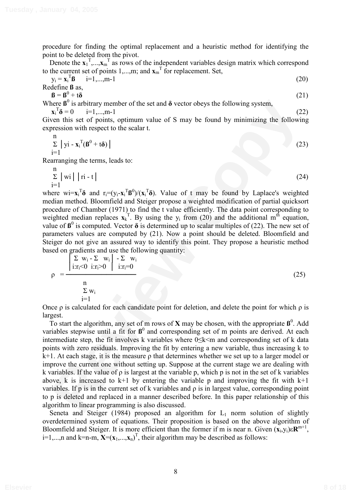procedure for finding the optimal replacement and a heuristic method for identifying the point to be deleted from the pivot.

Denote the  $\mathbf{x}_1^T$ ,..., $\mathbf{x}_m^T$  as rows of the independent variables design matrix which correspond to the current set of points  $1,...,m$ ; and  $\mathbf{x}_{m}^{T}$  for replacement. Set,

$$
y_i = \mathbf{x}_i^T \mathbf{B} \quad i=1,...,m-1
$$
  
Redefine **B** as,  

$$
\mathbf{B} = \mathbf{B}^0 + t\mathbf{\delta}
$$
 (21)

Where  $\beta^0$  is arbitrary member of the set and  $\delta$  vector obeys the following system,

 $\mathbf{x}_i^T \mathbf{\delta} = 0$  i=1,...,m-1 (22)

Given this set of points, optimum value of S may be found by minimizing the following expression with respect to the scalar t.

$$
\sum_{i=1}^{n} |y_i - x_i^T(\boldsymbol{\beta}^0 + t\boldsymbol{\delta})|
$$
 (23)

Rearranging the terms, leads to:

$$
\sum_{i=1}^{n} |wi| |ri - t|
$$
 (24)

where  $wi = x_i^T \delta$  and  $r_i = (y_i - x_i^T \delta^0) / (x_i^T \delta)$ . Value of t may be found by Laplace's weighted median method. Bloomfield and Steiger propose a weighted modification of partial quicksort procedure of Chamber (1971) to find the t value efficiently. The data point corresponding to weighted median replaces  $\mathbf{x}_k^T$ . By using the  $y_i$  from (20) and the additional m<sup>th</sup> equation, value of  $\mathbf{B}^0$  is computed. Vector  $\delta$  is determined up to scalar multiples of (22). The new set of parameters values are computed by (21). Now a point should be deleted. Bloomfield and Steiger do not give an assured way to identify this point. They propose a heuristic method based on gradients and use the following quantity:

$$
\rho = \frac{\begin{vmatrix} \sum w_i - \sum w_i \\ i:r_i < 0 \quad i:r_i > 0 \end{vmatrix} - \sum w_i}{\begin{vmatrix} \sum w_i \\ i:r_i < 0 \end{vmatrix}} \tag{25}
$$
\n
$$
\frac{\sum w_i}{i=1}
$$

Once  $\rho$  is calculated for each candidate point for deletion, and delete the point for which  $\rho$  is largest.

are  $\theta$ <sup>1</sup> is a mbittary member of the set and  $\theta$  vector obeys the following system,<br> **R**<sub>i</sub>  $\bar{\mathbf{s}} = 0$  i=1,...,m-1<br>
con this set of points, optimum value of S may be found by minimizing the following<br>
result in set To start the algorithm, any set of m rows of **X** may be chosen, with the appropriate  $\mathbf{B}^0$ . Add variables stepwise until a fit for  $\mathbf{B}^0$  and corresponding set of m points are derived. At each intermediate step, the fit involves k variables where  $0 \le k \le m$  and corresponding set of k data points with zero residuals. Improving the fit by entering a new variable, thus increasing k to  $k+1$ . At each stage, it is the measure  $\rho$  that determines whether we set up to a larger model or improve the current one without setting up. Suppose at the current stage we are dealing with k variables. If the value of  $\rho$  is largest at the variable p, which p is not in the set of k variables above, k is increased to  $k+1$  by entering the variable p and improving the fit with  $k+1$ variables. If p is in the current set of k variables and  $\rho$  is in largest value, corresponding point to p is deleted and replaced in a manner described before. In this paper relationship of this algorithm to linear programming is also discussed.

Seneta and Steiger (1984) proposed an algorithm for  $L_1$  norm solution of slightly overdetermined system of equations. Their proposition is based on the above algorithm of Bloomfield and Steiger. It is more efficient than the former if m is near n. Given  $(\mathbf{x}_i, \mathbf{y}_i) \in \mathbb{R}^{m+1}$ , i=1,...,n and k=n-m,  $\mathbf{X} = (\mathbf{x}_1,...,\mathbf{x}_n)^T$ , their algorithm may be described as follows: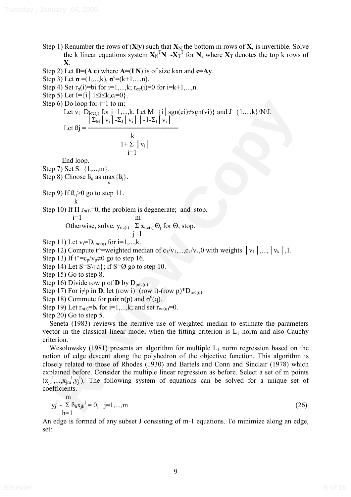Step 1) Renumber the rows of  $(X|y)$  such that  $X_N$  the bottom m rows of  $X$ , is invertible. Solve the k linear equations system  $X_N^T N = X_T^T$  for N, where  $X_T$  denotes the top k rows of **X**.

Step 2) Let  $D=(A|c)$  where  $A=(I|N)$  is of size kxn and  $c=Ay$ .

Step 3) Let  $\sigma = (1,...,k)$ ,  $\sigma^c = (k+1,...,n)$ .

Step 4) Set  $r_{\sigma}(i)$ =bi for i=1,...,k;  $r_{\sigma}(i)$ =0 for i=k+1,...,n.

Step 5) Let  $I = \{i \mid 1 \le i \le k, c_i = 0\}$ .

Step 6) Do loop for  $j=1$  to m:

Let  $v_i=D_{\text{pcc}(j)}$  for  $j=1,...,k$ . Let  $M=\{i \mid \text{sgn}(ci) \neq \text{sgn}(vi)\}$  and  $J=\{1,...,k\}\W\backslash I$ .  $\left|\sum_{M} \left|v_{i}\right| - \sum_{J} \left|v_{i}\right|\right| - 1 - \sum_{I} \left|v_{i}\right|$ Let  $\beta$ i =  $-$ 

$$
\frac{k}{1\text{+}\sum\limits_{i=1}^{k}\mid v_i\mid}
$$

End loop.

Step 7) Set  $S = \{1,...,m\}$ .

Step 8) Choose  $\beta_q$  as max  $\{\beta_i\}$ .

Step 9) If  $\beta_q > 0$  go to step 11.

k

Step 10) If  $\Pi$  r<sub> $\sigma(i)$ </sub>=0, the problem is degenerate; and stop.

i=1 m  
Otherwise, solve, 
$$
y_{\sigma c(i)} = \sum_{j=1}^{m} x_{\sigma c(i)j} \Theta_j
$$
 for  $\Theta$ , stop.

Step 11) Let  $v_i=D_{i,\sigma c(q)}$  for  $i=1,...,k$ .

Step 12) Compute t^=weighted median of  $c_1/v_1,...,c_k/v_k,0$  with weights  $|v_1|,...,|v_k|,1$ .

Step 13) If t^=c<sub>p</sub>/v<sub>p</sub> $\neq$ 0 go to step 16.

Step 14) Let  $S=S\{q\}$ ; if  $S=Ø$  go to step 10.

Step 15) Go to step 8.

Step 16) Divide row p of **D** by  $D_{p\sigma c(q)}$ .

Step 17) For  $i\neq p$  in **D**, let (row i)=(row i)-(row  $p$ )\*D<sub>ioc(q)</sub>.

Step 18) Commute for pair  $\sigma(p)$  and  $\sigma^c(q)$ .

Step 19) Let  $r_{\sigma(i)}=b_i$  for i=1,...,k; and set  $r_{\sigma(c)}=0$ .

Step 20) Go to step 5.

Seneta (1983) reviews the iterative use of weighted median to estimate the parameters vector in the classical linear model when the fitting criterion is  $L_1$  norm and also Cauchy criterion.

**Po** (b) Do loop for j=1 to m:<br>
Let  $v_j = D_{00}$  for j=1 to mix Let M=  $\{i\}$  sgn(ci)/sgn(vi)) and J={1,...,k} W·I.<br>
Let  $B_j = \frac{|\sum_{i} v_i| \sum_{j} v_j|}{|\sum_{i} v_i|} = \frac{|\sum_{i} v_i| \sum_{j} v_j|}{|\sum_{i} v_i|}$ <br>
Fig. 10.000.<br>
Fig. 10.000 Eq. since Wesolowsky (1981) presents an algorithm for multiple  $L_1$  norm regression based on the notion of edge descent along the polyhedron of the objective function. This algorithm is closely related to those of Rhodes (1930) and Bartels and Conn and Sinclair (1978) which explained before. Consider the multiple linear regression as before. Select a set of m points  $(x_i^1, ..., x_j^N, y_j^I)$ . The following system of equations can be solved for a unique set of coefficients.

$$
y_j^I - \sum_{h=1}^{m} B_h x_{jh}^I = 0, \quad j=1,...,m
$$
 (26)

An edge is formed of any subset J consisting of m-1 equations. To minimize along an edge, set: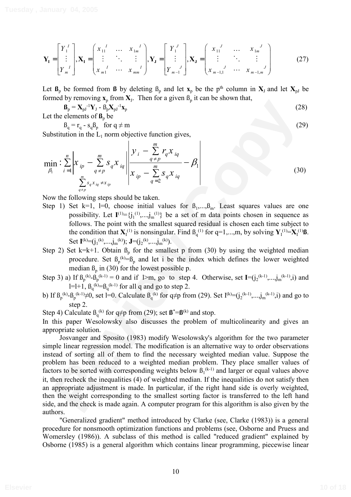$$
\mathbf{Y}_{I} = \begin{bmatrix} Y_{1}^{I} \\ \vdots \\ Y_{m}^{I} \end{bmatrix}, \mathbf{X}_{I} = \begin{bmatrix} x_{11}^{I} & \cdots & x_{1m}^{I} \\ \vdots & \ddots & \vdots \\ x_{m1}^{I} & \cdots & x_{mm}^{I} \end{bmatrix}, \mathbf{Y}_{J} = \begin{bmatrix} Y_{1}^{J} \\ \vdots \\ Y_{m-1}^{J} \end{bmatrix}, \mathbf{X}_{J} = \begin{bmatrix} x_{11}^{J} & \cdots & x_{1m}^{J} \\ \vdots & \ddots & \vdots \\ x_{m-1,1}^{J} & \cdots & x_{m-1,m}^{J} \end{bmatrix}
$$
(27)

Let  $\mathbf{B}_p$  be formed from **ß** by deleting  $\mathbf{B}_p$  and let  $\mathbf{x}_p$  be the p<sup>th</sup> column in  $\mathbf{X}_J$  and let  $\mathbf{X}_{pJ}$  be formed by removing  $\mathbf{x}_p$  from  $\mathbf{X}_j$ . Then for a given  $\mathbf{B}_p$  it can be shown that,

$$
\mathbf{B}_{\mathbf{p}} = \mathbf{X}_{\mathbf{p} \mathbf{J}}^{-1} \mathbf{Y}_{\mathbf{J}} - \mathbf{B}_{\mathbf{p}} \mathbf{X}_{\mathbf{p} \mathbf{J}}^{-1} \mathbf{x}_{\mathbf{p}}
$$
(28)

Let the elements of  $\mathbf{B}_p$  be

$$
\beta_q = r_q - s_q \beta_p \quad \text{for } q \neq m \tag{29}
$$

Substitution in the  $L_1$  norm objective function gives,

$$
\min_{\beta_1} \left| \sum_{i=1}^n \left| x_{ip} - \sum_{q \neq p}^m s_q x_{iq} \right| \frac{y_i - \sum_{q \neq p}^m r_q x_{iq}}{x_{ip} - \sum_{q=2}^m s_q x_{iq}} - \beta_1 \right|
$$
\n(30)

Now the following steps should be taken.

- Step 1) Set k=1, l=0, choose initial values for  $\beta_1,...,\beta_m$ . Least squares values are one possibility. Let  $I^{(1)} = \{j_1^{(1)},...,j_m^{(1)}\}$  be a set of m data points chosen in sequence as follows. The point with the smallest squared residual is chosen each time subject to the condition that  $\mathbf{X}_{I}^{(1)}$  is nonsingular. Find  $\mathbf{B}_{q}^{(1)}$  for  $q=1,...,m$ , by solving  $\mathbf{Y}_{I}^{(1)}=\mathbf{X}_{I}^{(1)}\mathbf{B}$ . Set  $I^{(k)}=(j_1^{(k)},...,j_m^{(k)})$ ;  $J=(j_2^{(k)},...,j_m^{(k)})$ .
- Step 2) Set k=k+1. Obtain  $\beta_p$  for the smallest p from (30) by using the weighted median procedure. Set  $\beta_p^{\kappa} = \beta_p$  and let i be the index which defines the lower weighted median  $\beta_n$  in (30) for the lowest possible p.
- Step 3) a) If  $\beta_p^{(k)} \beta_p^{(k-1)} = 0$  and if 1>m, go to step 4. Otherwise, set  $I = (j_2^{(k-1)},...,j_m^{(k-1)},i)$  and  $l=l+1$ ,  $\beta_q^{(k)} = \beta_q^{(k-1)}$  for all q and go to step 2.
- b) If  $\beta_p^{(k)} \beta_p^{(k-1)} \neq 0$ , set l=0. Calculate  $\beta_q^{(k)}$  for  $q \neq p$  from (29). Set I<sup>(k)</sup>=(j<sub>2</sub>(k-1),...,j<sub>m</sub>(k-1),i) and go to step 2.

Step 4) Calculate  $B_q^{(k)}$  for  $q \neq p$  from (29); set  $\mathbf{B}^* = \mathbf{B}^{(k)}$  and stop.

In this paper Wesolowsky also discusses the problem of multicolinearity and gives an appropriate solution.

**R<sub>p</sub>** =  $X_{y1}^{-1}Y_{1} = \hat{\theta}(X_{y1}^{-1}X_{y1}^{-1})$ <br>
the clements of **B**<sub>n</sub> be  $\theta$  =  $\theta$ ,  $\theta$  =  $\theta$  =  $\theta$  =  $\theta$  =  $\theta$  =  $\theta$  =  $\theta$  =  $\theta$  =  $\theta$  =  $\theta$  =  $\theta$  =  $\theta$  =  $\theta$  =  $\theta$  =  $\theta$  =  $\theta$  =  $\theta$  =  $\theta$  =  $\theta$  =  $\$ Josvanger and Sposito (1983) modify Wesolowsky's algorithm for the two parameter simple linear regression model. The modification is an alternative way to order observations instead of sorting all of them to find the necessary weighted median value. Suppose the problem has been reduced to a weighted median problem. They place smaller values of factors to be sorted with corresponding weights below  $\beta_1^{(k-1)}$  and larger or equal values above it, then recheck the inequalities (4) of weighted median. If the inequalities do not satisfy then an appropriate adjustment is made. In particular, if the right hand side is overly weighted, then the weight corresponding to the smallest sorting factor is transferred to the left hand side, and the check is made again. A computer program for this algorithm is also given by the authors.

"Generalized gradient" method introduced by Clarke (see, Clarke (1983)) is a general procedure for nonsmooth optimization functions and problems (see, Osborne and Pruess and Womersley (1986)). A subclass of this method is called "reduced gradient" explained by Osborne (1985) is a general algorithm which contains linear programming, piecewise linear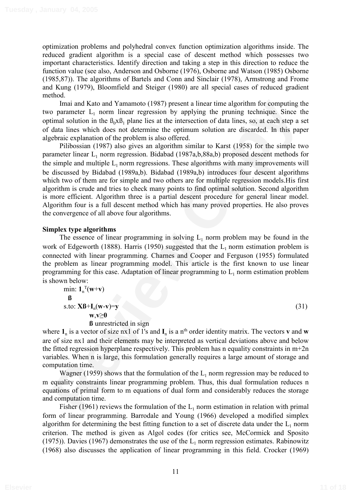optimization problems and polyhedral convex function optimization algorithms inside. The reduced gradient algorithm is a special case of descent method which possesses two important characteristics. Identify direction and taking a step in this direction to reduce the function value (see also, Anderson and Osborne (1976), Osborne and Watson (1985) Osborne (1985,87)). The algorithms of Bartels and Conn and Sinclair (1978), Armstrong and Frome and Kung (1979), Bloomfield and Steiger (1980) are all special cases of reduced gradient method.

Imai and Kato and Yamamoto (1987) present a linear time algorithm for computing the two parameter  $L_1$  norm linear regression by applying the pruning technique. Since the optimal solution in the  $\beta_0x\beta_1$  plane lies at the intersection of data lines, so, at each step a set of data lines which does not determine the optimum solution are discarded. In this paper algebraic explanation of the problem is also offered.

Imaja of Kato and Vamamoto (1987) present a linear time algorithm for computing the<br>sing and state and solution in the  $I_A$ , norm linear regression by applying the puning technique. Since the firm<br>imal solution in the  $I_A$ Pilibossian (1987) also gives an algorithm similar to Karst (1958) for the simple two parameter linear  $L_1$  norm regression. Bidabad (1987a,b,88a,b) proposed descent methods for the simple and multiple  $L_1$  norm regressions. These algorithms with many improvements will be discussed by Bidabad (1989a,b). Bidabad (1989a,b) introduces four descent algorithms which two of them are for simple and two others are for multiple regression models.His first algorithm is crude and tries to check many points to find optimal solution. Second algorithm is more efficient. Algorithm three is a partial descent procedure for general linear model. Algorithm four is a full descent method which has many proved properties. He also proves the convergence of all above four algorithms.

## **Simplex type algorithms**

The essence of linear programming in solving  $L_1$  norm problem may be found in the work of Edgeworth (1888). Harris (1950) suggested that the  $L_1$  norm estimation problem is connected with linear programming. Charnes and Cooper and Ferguson (1955) formulated the problem as linear programming model. This article is the first known to use linear programming for this case. Adaptation of linear programming to  $L<sub>1</sub>$  norm estimation problem is shown below:

$$
\min_{\mathbf{B}} \mathbf{1}_{n}^{\mathrm{T}}(\mathbf{w}+\mathbf{v})
$$
\n
$$
\text{s.to: }\mathbf{X}\mathbf{B}+\mathbf{I}_{n}(\mathbf{w}-\mathbf{v})=\mathbf{y}
$$
\n
$$
\mathbf{w},\mathbf{v}\geq 0
$$
\n(31)

**ß** unrestricted in sign

where  $\mathbf{1}_n$  is a vector of size nx1 of 1's and  $\mathbf{I}_n$  is a n<sup>th</sup> order identity matrix. The vectors **v** and **w** are of size nx1 and their elements may be interpreted as vertical deviations above and below the fitted regression hyperplane respectively. This problem has n equality constraints in m+2n variables. When n is large, this formulation generally requires a large amount of storage and computation time.

Wagner (1959) shows that the formulation of the  $L_1$  norm regression may be reduced to m equality constraints linear programming problem. Thus, this dual formulation reduces n equations of primal form to m equations of dual form and considerably reduces the storage and computation time.

Fisher (1961) reviews the formulation of the  $L_1$  norm estimation in relation with primal form of linear programming. Barrodale and Young (1966) developed a modified simplex algorithm for determining the best fitting function to a set of discrete data under the  $L_1$  norm criterion. The method is given as Algol codes (for critics see, McCormick and Sposito (1975)). Davies (1967) demonstrates the use of the  $L_1$  norm regression estimates. Rabinowitz (1968) also discusses the application of linear programming in this field. Crocker (1969)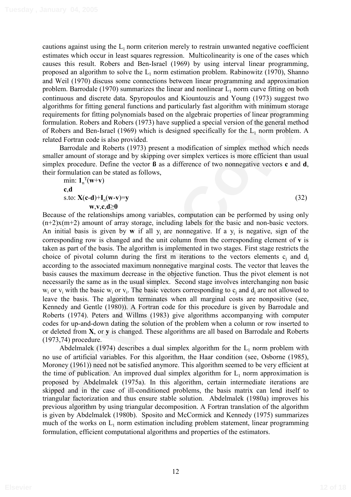cautions against using the  $L_1$  norm criterion merely to restrain unwanted negative coefficient estimates which occur in least squares regression. Multicolinearity is one of the cases which causes this result. Robers and Ben-Israel (1969) by using interval linear programming, proposed an algorithm to solve the  $L_1$  norm estimation problem. Rabinowitz (1970), Shanno and Weil (1970) discuss some connections between linear programming and approximation problem. Barrodale (1970) summarizes the linear and nonlinear  $L_1$  norm curve fitting on both continuous and discrete data. Spyropoulos and Kiountouzis and Young (1973) suggest two algorithms for fitting general functions and particularly fast algorithm with minimum storage requirements for fitting polynomials based on the algebraic properties of linear programming formulation. Robers and Robers (1973) have supplied a special version of the general method of Robers and Ben-Israel (1969) which is designed specifically for the  $L_1$  norm problem. A related Fortran code is also provided.

Barrodale and Roberts (1973) present a modification of simplex method which needs smaller amount of storage and by skipping over simplex vertices is more efficient than usual simplex procedure. Define the vector **ß** as a difference of two nonnegative vectors **c** and **d**, their formulation can be stated as follows,

min:  $\mathbf{1}_n^T(\mathbf{w}+\mathbf{v})$ **c**,**d** s.to:  $X(c-d)+I_n(w-v)=y$  (32)

## **w**,**v**,**c**,**d**>**0**

notthen for fitting polynomials based on the dependent of the H<sub>3</sub> conget of the state of the state of the dependent functions and particularly fast algorithm with minimum storage multaion. Robers and Robers (1975) have su Because of the relationships among variables, computation can be performed by using only  $(n+2)x(m+2)$  amount of array storage, including labels for the basic and non-basic vectors. An initial basis is given by **w** if all  $y_i$  are nonnegative. If a  $y_i$  is negative, sign of the corresponding row is changed and the unit column from the corresponding element of **v** is taken as part of the basis. The algorithm is implemented in two stages. First stage restricts the choice of pivotal column during the first m iterations to the vectors elements  $c_i$  and  $d_i$ according to the associated maximum nonnegative marginal costs. The vector that leaves the basis causes the maximum decrease in the objective function. Thus the pivot element is not necessarily the same as in the usual simplex. Second stage involves interchanging non basic  $w_i$  or  $v_i$  with the basic  $w_i$  or  $v_i$ . The basic vectors corresponding to  $c_i$  and  $d_i$  are not allowed to leave the basis. The algorithm terminates when all marginal costs are nonpositive (see, Kennedy and Gentle (1980)). A Fortran code for this procedure is given by Barrodale and Roberts (1974). Peters and Willms (1983) give algorithms accompanying with computer codes for up-and-down dating the solution of the problem when a column or row inserted to or deleted from **X**, or **y** is changed. These algorithms are all based on Barrodale and Roberts (1973,74) procedure.

Abdelmalek (1974) describes a dual simplex algorithm for the  $L_1$  norm problem with no use of artificial variables. For this algorithm, the Haar condition (see, Osborne (1985), Moroney (1961)) need not be satisfied anymore. This algorithm seemed to be very efficient at the time of publication. An improved dual simplex algorithm for  $L_1$  norm approximation is proposed by Abdelmalek (1975a). In this algorithm, certain intermediate iterations are skipped and in the case of ill-conditioned problems, the basis matrix can lend itself to triangular factorization and thus ensure stable solution. Abdelmalek (1980a) improves his previous algorithm by using triangular decomposition. A Fortran translation of the algorithm is given by Abdelmalek (1980b). Sposito and McCormick and Kennedy (1975) summarizes much of the works on  $L_1$  norm estimation including problem statement, linear programming formulation, efficient computational algorithms and properties of the estimators.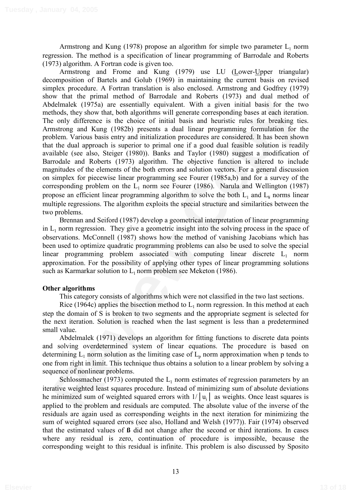Armstrong and Kung (1978) propose an algorithm for simple two parameter  $L_1$  norm regression. The method is a specification of linear programming of Barrodale and Roberts (1973) algorithm. A Fortran code is given too.

delmalek (1975a) are essentially equivalent. With a given initial basis for the two holds, they show that, both algorithms will generate corresponding bases at each iteration only difference is the choice of initial basis Armstrong and Frome and Kung (1979) use LU (Lower-Upper triangular) decomposition of Bartels and Golub (1969) in maintaining the current basis on revised simplex procedure. A Fortran translation is also enclosed. Armstrong and Godfrey (1979) show that the primal method of Barrodale and Roberts (1973) and dual method of Abdelmalek (1975a) are essentially equivalent. With a given initial basis for the two methods, they show that, both algorithms will generate corresponding bases at each iteration. The only difference is the choice of initial basis and heuristic rules for breaking ties. Armstrong and Kung (1982b) presents a dual linear programming formulation for the problem. Various basis entry and initialization procedures are considered. It has been shown that the dual approach is superior to primal one if a good dual feasible solution is readily available (see also, Steiger (1980)). Banks and Taylor (1980) suggest a modification of Barrodale and Roberts (1973) algorithm. The objective function is altered to include magnitudes of the elements of the both errors and solution vectors. For a general discussion on simplex for piecewise linear programming see Fourer (1985a,b) and for a survey of the corresponding problem on the  $L_1$  norm see Fourer (1986). Narula and Wellington (1987) propose an efficient linear programming algorithm to solve the both  $L_1$  and  $L_2$  norms linear multiple regressions. The algorithm exploits the special structure and similarities between the two problems.

Brennan and Seiford (1987) develop a geometrical interpretation of linear programming in  $L_1$  norm regression. They give a geometric insight into the solving process in the space of observations. McConnell (1987) shows how the method of vanishing Jacobians which has been used to optimize quadratic programming problems can also be used to solve the special linear programming problem associated with computing linear discrete  $L_1$  norm approximation. For the possibility of applying other types of linear programming solutions such as Karmarkar solution to  $L_1$  norm problem see Meketon (1986).

## **Other algorithms**

This category consists of algorithms which were not classified in the two last sections.

Rice (1964c) applies the bisection method to  $L_1$  norm regression. In this method at each step the domain of S is broken to two segments and the appropriate segment is selected for the next iteration. Solution is reached when the last segment is less than a predetermined small value.

Abdelmalek (1971) develops an algorithm for fitting functions to discrete data points and solving overdetermined system of linear equations. The procedure is based on determining  $L_1$  norm solution as the limiting case of  $L_p$  norm approximation when p tends to one from right in limit. This technique thus obtains a solution to a linear problem by solving a sequence of nonlinear problems.

Schlossmacher (1973) computed the  $L_1$  norm estimates of regression parameters by an iterative weighted least squares procedure. Instead of minimizing sum of absolute deviations he minimized sum of weighted squared errors with  $1/|u_i|$  as weights. Once least squares is applied to the problem and residuals are computed. The absolute value of the inverse of the residuals are again used as corresponding weights in the next iteration for minimizing the sum of weighted squared errors (see also, Holland and Welsh (1977)). Fair (1974) observed that the estimated values of **ß** did not change after the second or third iterations. In cases where any residual is zero, continuation of procedure is impossible, because the corresponding weight to this residual is infinite. This problem is also discussed by Sposito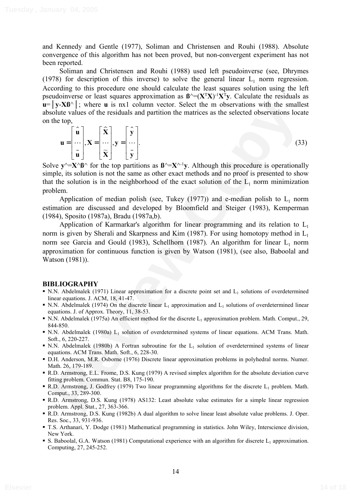and Kennedy and Gentle (1977), Soliman and Christensen and Rouhi (1988). Absolute convergence of this algorithm has not been proved, but non-convergent experiment has not been reported.

Soliman and Christensen and Rouhi (1988) used left pseudoinverse (see, Dhrymes (1978) for description of this inverse) to solve the general linear  $L_1$  norm regression. According to this procedure one should calculate the least squares solution using the left pseudoinverse or least squares approximation as  $\mathbf{B}^{\wedge}=(\mathbf{X}^T\mathbf{X})^{-1}\mathbf{X}^T\mathbf{v}$ . Calculate the residuals as  $\mathbf{u} = |\mathbf{y} - \mathbf{X}\mathbf{B}^{\wedge}|$ ; where **u** is nx1 column vector. Select the m observations with the smallest absolute values of the residuals and partition the matrices as the selected observations locate on the top,

$$
\mathbf{u} = \begin{bmatrix} \hat{\mathbf{u}} \\ \cdots \\ \hat{\mathbf{u}} \end{bmatrix}, \mathbf{X} = \begin{bmatrix} \hat{\mathbf{X}} \\ \cdots \\ \hat{\mathbf{X}} \end{bmatrix}, \mathbf{y} = \begin{bmatrix} \hat{\mathbf{y}} \\ \cdots \\ \hat{\mathbf{y}} \end{bmatrix}.
$$
 (33)

Solve  $\mathbf{y}^{\wedge} = \mathbf{X}^{\wedge} \mathbf{B}^{\wedge}$  for the top partitions as  $\mathbf{B}^{\wedge} = \mathbf{X}^{\wedge} \mathbf{I} \mathbf{y}$ . Although this procedure is operationally simple, its solution is not the same as other exact methods and no proof is presented to show that the solution is in the neighborhood of the exact solution of the  $L_1$  norm minimization problem.

Application of median polish (see, Tukey  $(1977)$ ) and e-median polish to  $L_1$  norm estimation are discussed and developed by Bloomfield and Steiger (1983), Kemperman (1984), Sposito (1987a), Bradu (1987a,b).

**I**  $\frac{1}{2} \times 36^{\circ}$  i: where u is nx1 column vector. Select the m observations with the smallest<br>
violue values of the residuals and partition the matrices as the selected observations locate<br>
the top,<br>  $\mathbf{u} = \begin{bmatrix} \$ Application of Karmarkar's algorithm for linear programming and its relation to  $L_1$ norm is given by Sherali and Skarpness and Kim (1987). For using homotopy method in  $L_1$ norm see Garcia and Gould (1983), Schellhorn (1987). An algorithm for linear  $L_1$  norm approximation for continuous function is given by Watson (1981), (see also, Baboolal and Watson (1981)).

## **BIBLIOGRAPHY**

- $\blacksquare$  N.N. Abdelmalek (1971) Linear approximation for a discrete point set and L<sub>1</sub> solutions of overdetermined linear equations. J. ACM, 18, 41-47.
- N.N. Abdelmalek (1974) On the discrete linear  $L_1$  approximation and  $L_1$  solutions of overdetermined linear equations. J. of Approx. Theory, 11, 38-53.
- N.N. Abdelmalek (1975a) An efficient method for the discrete  $L_1$  approximation problem. Math. Comput., 29, 844-850.
- N.N. Abdelmalek (1980a) L<sub>1</sub> solution of overdetermined systems of linear equations. ACM Trans. Math. Soft., 6, 220-227.
- $\blacksquare$  N.N. Abdelmalek (1980b) A Fortran subroutine for the  $L_1$  solution of overdetermined systems of linear equations. ACM Trans. Math. Soft., 6, 228-30.
- D.H. Anderson, M.R. Osborne (1976) Discrete linear approximation problems in polyhedral norms. Numer. Math. 26, 179-189.
- R.D. Armstrong, E.L. Frome, D.S. Kung (1979) A revised simplex algorithm for the absolute deviation curve fitting problem. Commun. Stat. B8, 175-190.
- R.D. Armstrong, J. Godfrey (1979) Two linear programming algorithms for the discrete  $L_1$  problem. Math. Comput., 33, 289-300.
- R.D. Armstrong, D.S. Kung (1978) AS132: Least absolute value estimates for a simple linear regression problem. Appl. Stat., 27, 363-366.
- R.D. Armstrong, D.S. Kung (1982b) A dual algorithm to solve linear least absolute value problems. J. Oper. Res. Soc., 33, 931-936.
- T.S. Arthanari, Y. Dodge (1981) Mathematical programming in statistics. John Wiley, Interscience division, New York.
- S. Baboolal, G.A. Watson (1981) Computational experience with an algorithm for discrete  $L_1$  approximation. Computing, 27, 245-252.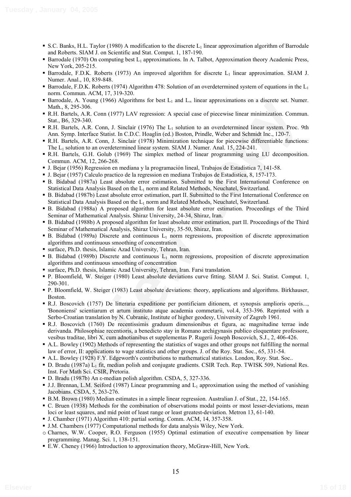- S.C. Banks, H.L. Taylor (1980) A modification to the discrete  $L_1$  linear approximation algorithm of Barrodale and Roberts. SIAM J. on Scientific and Stat. Comput. 1, 187-190.
- Barrodale (1970) On computing best  $L_1$  approximations. In A. Talbot, Approximation theory Academic Press, New York, 205-215.
- Barrodale, F.D.K. Roberts (1973) An improved algorithm for discrete  $L_1$  linear approximation. SIAM J. Numer. Anal., 10, 839-848.
- Barrodale, F.D.K. Roberts (1974) Algorithm 478: Solution of an overdetermined system of equations in the  $L_1$ norm. Commun. ACM, 17, 319-320.
- Barrodale, A. Young (1966) Algorithms for best  $L_1$  and  $L_{\infty}$  linear approximations on a discrete set. Numer. Math., 8, 295-306.
- R.H. Bartels, A.R. Conn (1977) LAV regression: A special case of piecewise linear minimization. Commun. Stat., B6, 329-340.
- R.H. Bartels, A.R. Conn, J. Sinclair (1976) The L<sub>1</sub> solution to an overdetermined linear system. Proc. 9th Ann. Symp. Interface Statist. In C.D.C. Hoaglin (ed.) Boston, Prindle, Weber and Schmidt Inc., 120-7.
- R.H. Bartels, A.R. Conn, J. Sinclair (1978) Minimization technique for piecewise differentiable functions: The L1 solution to an overdetermined linear system. SIAM J. Numer. Anal. 15, 224-241.
- R.H. Bartels, G.H. Golub (1969) The simplex method of linear programming using LU decomposition. Commun. ACM, 12, 266-268.
- J. Bejar (1956) Regression en mediana y la programación lineal, Trabajos de Estadistica 7, 141-58.
- J. Bejar (1957) Calculo practico de la regression en mediana Trabajos de Estadistica, 8, 157-173.
- B. Bidabad (1987a) Least absolute error estimation. Submitted to the First International Conference on Statistical Data Analysis Based on the L<sub>1</sub> norm and Related Methods, Neuchatel, Switzerland.
- B. Bidabad (1987b) Least absolute error estimation, part II. Submitted to the First International Conference on Statistical Data Analysis Based on the  $L_1$  norm and Related Methods, Neuchatel, Switzerland.
- B. Bidabad (1988a) A proposed algorithm for least absolute error estimation. Proceedings of the Third Seminar of Mathematical Analysis. Shiraz University, 24-34, Shiraz, Iran.
- B. Bidabad (1988b) A proposed algorithm for least absolute error estimation, part II. Proceedings of the Third Seminar of Mathematical Analysis, Shiraz University, 35-50, Shiraz, Iran.
- B. Bidabad (1989a) Discrete and continuous  $L_1$  norm regressions, proposition of discrete approximation algorithms and continuous smoothing of concentration
- surface, Ph.D. thesis, Islamic Azad University, Tehran, Iran.
- B. Bidabad (1989b) Discrete and continuous  $L_1$  norm regressions, proposition of discrete approximation algorithms and continuous smoothing of concentration
- surface, Ph.D. thesis, Islamic Azad University, Tehran, Iran. Farsi translation.
- P. Bloomfield, W. Steiger (1980) Least absolute deviations curve fitting. SIAM J. Sci. Statist. Comput. 1, 290-301.
- P. Bloomfield, W. Steiger (1983) Least absolute deviations: theory, applications and algorithms. Birkhauser, Boston.
- ationals, A. Young (1996) The Meridian contest is and the interactional and the main and the set of the main and the set of the set of the set of the main and the set of the set of the set of the set of the set of the set R.J. Boscovich (1757) De litteraria expeditione per pontificiam ditionem, et synopsis amplioris operis..., 'Bononiensi' scientiarum et artum instituto atque academia commetarii, vol.4, 353-396. Reprinted with a Serbo-Croatian translation by N. Cubranic, Institute of higher geodesy, University of Zagreb 1961.
- R.J. Boscovich (1760) De recentissimis graduum dimensionibus et figura, ac magnitudine terrae inde derivanda. Philosophiae recentioris, a benedicto stay in Romano archigynasis publico eloquentare professore, vesibus traditae, libri X, cum adnotianibus et supplementas P. Rugerii Joseph Boscovich, S.J., 2, 406-426.
- A.L. Bowley (1902) Methods of representing the statistics of wages and other groups not fulfilling the normal law of error, II: applications to wage statistics and other groups. J. of the Roy. Stat. Soc., 65, 331-54.
- A.L. Bowley (1928) F.Y. Edgeworth's contributions to mathematical statistics. London, Roy. Stat. Soc..
- D. Bradu (1987a) L<sub>1</sub> fit, median polish and conjugate gradients. CSIR Tech. Rep. TWISK 509, National Res. Inst. For Math Sci. CSIR, Pretoria.
- D. Bradu (1987b) An  $\varepsilon$ -median polish algorithm. CSDA, 5, 327-336.
- $\blacksquare$  J.J. Brennan, L.M. Seiford (1987) Linear programming and L<sub>1</sub> approximation using the method of vanishing Jacobians. CSDA, 5, 263-276.
- B.M. Brown (1980) Median estimates in a simple linear regression. Australian J. of Stat., 22, 154-165.
- C. Bruen (1938) Methods for the combination of observations modal points or most lesser-deviations, mean loci or least squares, and mid point of least range or least greatest-deviation. Metron 13, 61-140.
- J. Chamber (1971) Algorithm 410: partial sorting. Comm. ACM, 14, 357-358.
- J.M. Chambers (1977) Computational methods for data analysis Wiley, New York.
- o Charnes, W.W. Cooper, R.O. Ferguson (1955) Optimal estimation of executive compensation by linear programming. Manag. Sci. 1, 138-151.
- E.W. Cheney (1966) Introduction to approximation theory, McGraw-Hill, New York.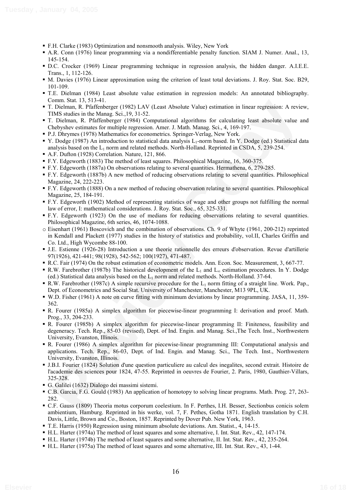- F.H. Clarke (1983) Optimization and nonsmooth analysis. Wiley, New York
- A.R. Conn (1976) linear programming via a nondifferentiable penalty function. SIAM J. Numer. Anal., 13, 145-154.
- D.C. Crocker (1969) Linear programming technique in regression analysis, the hidden danger. A.I.E.E. Trans., 1, 112-126.
- M. Davies (1976) Linear approximation using the criterion of least total deviations. J. Roy. Stat. Soc. B29, 101-109.
- T.E. Dielman (1984) Least absolute value estimation in regression models: An annotated bibliography. Comm. Stat. 13, 513-41.
- T. Dielman, R. Pfaffenberger (1982) LAV (Least Absolute Value) estimation in linear regression: A review, TIMS studies in the Manag. Sci.,19, 31-52.
- T. Dielman, R. Pfaffenberger (1984) Computational algorithms for calculating least absolute value and Chebyshev estimates for multiple regression. Amer. J. Math. Manag. Sci., 4, 169-197.
- P.J. Dhrymes (1978) Mathematics for econometrics. Springer-Verlag, New York.
- V. Dodge (1987) An introduction to statistical data analysis L<sub>1</sub>-norm based. In Y. Dodge (ed.) Statistical data analysis based on the  $L_1$  norm and related methods. North-Holland. Reprinted in CSDA, 5, 239-254.
- A.F. Dufton (1928) Correlation. Nature, 121, 866.
- F.Y. Edgeworth (1883) The method of least squares. Philosophical Magazine, 16, 360-375.
- F.Y. Edgeworth (1887a) On observations relating to several quantities. Hermathena, 6, 279-285.
- F.Y. Edgeworth (1887b) A new method of reducing observations relating to several quantities. Philosophical Magazine, 24, 222-223.
- F.Y. Edgeworth (1888) On a new method of reducing observation relating to several quantities. Philosophical Magazine, 25, 184-191.
- F.Y. Edgeworth (1902) Method of representing statistics of wage and other groups not fulfilling the normal law of error, I: mathematical considerations. J. Roy. Stat. Soc., 65, 325-331.
- F.Y. Edgeworth (1923) On the use of medians for reducing observations relating to several quantities. Philosophical Magazine, 6th series, 46, 1074-1088.
- o Eisenhart (1961) Boscovich and the combination of observations. Ch. 9 of Whyte (1961, 200-212) reprinted in Kendall and Plackett (1977) studies in the history of statistics and probability, vol.II, Charles Griffin and Co. Ltd., High Wycombe 88-100.
- J.E. Estienne (1926-28) Introduction a une theorie rationnelle des erreurs d'observation. Revue d'artillerie 97(1926), 421-441; 98(1928), 542-562; 100(1927), 471-487.
- R.C. Fair (1974) On the robust estimation of econometric models. Ann. Econ. Soc. Measurement, 3, 667-77.
- R.W. Farebrother (1987b) The historical development of the  $L_1$  and  $L_{\infty}$  estimation procedures. In Y. Dodge (ed.) Statistical data analysis based on the  $L_1$  norm and related methods. North-Holland. 37-64.
- R.W. Farebrother (1987c) A simple recursive procedure for the  $L_1$  norm fitting of a straight line. Work. Pap., Dept. of Econometrics and Social Stat. University of Manchester, Manchester, M13 9PL, UK.
- W.D. Fisher (1961) A note on curve fitting with minimum deviations by linear programming. JASA, 11, 359- 362.
- R. Fourer (1985a) A simplex algorithm for piecewise-linear programming I: derivation and proof. Math. Prog., 33, 204-233.
- comm<sub>3</sub> Min. Y. Software (1982) LAV (Lead Absolute Value) estimation in linear regression. A review, Tokinan, R. Phifrhenge CoPy<sub>3</sub> A. N. Coloma, R. Phifrhenge Tokinan, R. Phifrhenge Tokinan, R. Phifrhenge Tokinan, R. Phif R. Fourer (1985b) A simplex algorithm for piecewise-linear programming II: Finiteness, feasibility and degeneracy. Tech. Rep., 85-03 (revised), Dept. of Ind. Engin. and Manag. Sci.,The Tech. Inst., Northwestern University, Evanston, Illinois.
- R. Fourer (1986) A simplex algorithm for piecewise-linear programming III: Computational analysis and applications. Tech. Rep., 86-03, Dept. of Ind. Engin. and Manag. Sci., The Tech. Inst., Northwestern University, Evanston, Illinois.
- J.B.I. Fourier (1824) Solution d'une question particuliere au calcul des inegalites, second extrait. Histoire de l'academie des sciences pour 1824, 47-55. Reprinted in oeuvres de Fourier, 2. Paris, 1980, Gauthier-Villars, 325-328.
- G. Galilei (1632) Dialogo dei massimi sistemi.
- C.B. Garcia, F.G. Gould (1983) An application of homotopy to solving linear programs. Math. Prog. 27, 263- 282.
- C.F. Gauss (1809) Theoria motus corporum coelestium. In F. Perthes, I.H. Besser, Sectionbus conicis solem ambientium, Hamburg. Reprinted in his werke, vol. 7, F. Pethes, Gotha 1871. English translation by C.H. Davis, Little, Brown and Co., Boston, 1857. Reprinted by Dover Pub. New York, 1963.
- T.E. Harris (1950) Regression using minimum absolute deviations. Am. Statist., 4, 14-15.
- H.L. Harter (1974a) The method of least squares and some alternative, I. Int. Stat. Rev., 42, 147-174.
- H.L. Harter (1974b) The method of least squares and some alternative, II. Int. Stat. Rev., 42, 235-264.
- H.L. Harter (1975a) The method of least squares and some alternative, III. Int. Stat. Rev., 43, 1-44.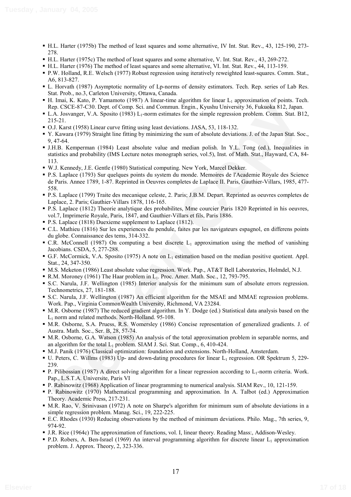- H.L. Harter (1975b) The method of least squares and some alternative, IV Int. Stat. Rev., 43, 125-190, 273- 278.
- H.L. Harter (1975c) The method of least squares and some alternative, V. Int. Stat. Rev., 43, 269-272.
- H.L. Harter (1976) The method of least squares and some alternative, VI. Int. Stat. Rev., 44, 113-159.
- P.W. Holland, R.E. Welsch (1977) Robust regression using iteratively reweighted least-squares. Comm. Stat., A6, 813-827.
- L. Horvath (1987) Asymptotic normality of Lp-norms of density estimators. Tech. Rep. series of Lab Res. Stat. Prob., no.3, Carleton University, Ottawa, Canada.
- $H.$  Imai, K. Kato, P. Yamamoto (1987) A linear-time algorithm for linear  $L_1$  approximation of points. Tech. Rep. CSCE-87-C30. Dept. of Comp. Sci. and Commun. Engin., Kyushu University 36, Fukuoka 812, Japan.
- L.A. Josvanger, V.A. Sposito (1983)  $L_1$ -norm estimates for the simple regression problem. Comm. Stat. B12, 215-21.
- O.J. Karst (1958) Linear curve fitting using least deviations. JASA, 53, 118-132.
- Y. Kawara (1979) Straight line fitting by minimizing the sum of absolute deviations. J. of the Japan Stat. Soc., 9, 47-64.
- I mail, school (1 rammond (1967) compare interest die particle and the mail (1, application) (1) and (1, a mail (1, a mail (1, a mail (1, a mail (1, a mail (1, a mail (1, a mail (1, a mail (1, a mail (1, a mail (1, a mail J.H.B. Kemperman (1984) Least absolute value and median polish. In Y.L. Tong (ed.), Inequalities in statistics and probability (IMS Lecture notes monograph series, vol.5), Inst. of Math. Stat., Hayward, CA, 84- 113.
- W.J. Kennedy, J.E. Gentle (1980) Statistical computing. New York, Marcel Dekker.
- P.S. Laplace (1793) Sur quelques points du system du monde. Memoires de l'Academie Royale des Science de Paris. Annee 1789, 1-87. Reprinted in Oeuvres completes de Laplace II. Paris, Gauthier-Villars, 1985, 477- 558.
- P.S. Laplace (1799) Traite des mecanique celeste, 2. Paris; J.B.M. Depart. Reprinted as oeuvres completes de Laplace, 2. Paris; Gauthier-Villars 1878, 116-165.
- P.S. Laplace (1812) Theorie analytique des probabilites, Mme courcier Paris 1820 Reprinted in his oeuvres, vol.7, Imprimerie Royale, Paris, 1847, and Gauthier-Villars et fils, Paris 1886.
- **P.S. Laplace (1818) Duexieme supplement to Laplace (1812).**
- C.L. Mathieu (1816) Sur les experiences du pendule, faites par les navigateurs espagnol, en differens points du globe. Connaissance des tems, 314-332.
- C.R. McConnell (1987) On computing a best discrete  $L_1$  approximation using the method of vanishing Jacobians. CSDA, 5, 277-288.
- G.F. McCormick, V.A. Sposito (1975) A note on L<sub>1</sub> estimation based on the median positive quotient. Appl. Stat., 24, 347-350.
- M.S. Meketon (1986) Least absolute value regression. Work. Pap., AT&T Bell Laboratories, Holmdel, N.J.
- R.M. Moroney (1961) The Haar problem in L1. Proc. Amer. Math. Soc., 12, 793-795.
- S.C. Narula, J.F. Wellington (1985) Interior analysis for the minimum sum of absolute errors regression. Technometrics, 27, 181-188.
- S.C. Narula, J.F. Wellington (1987) An efficient algorithm for the MSAE and MMAE regression problems. Work. Pap., Virginia CommonWealth University, Richmond, VA 23284.
- M.R. Osborne (1987) The reduced gradient algorithm. In Y. Dodge (ed.) Statistical data analysis based on the L1 norm and related methods. North-Holland. 95-108.
- M.R. Osborne, S.A. Pruess, R.S. Womersley (1986) Concise representation of generalized gradients. J. of Austra. Math. Soc., Ser. B, 28, 57-74.
- M.R. Osborne, G.A. Watson (1985) An analysis of the total approximation problem in separable norms, and an algorithm for the total  $L_1$  problem. SIAM J. Sci. Stat. Comp., 6, 410-424.
- M.J. Panik (1976) Classical optimization: foundation and extensions. North-Holland, Amsterdam.
- U. Peters, C. Willms (1983) Up- and down-dating procedures for linear  $L_1$  regression. OR Spektrum 5, 229-239.
- P. Pilibossian (1987) A direct solving algorithm for a linear regression according to  $L_1$ -norm criteria. Work. Pap., L.S.T.A. Universite, Paris VI
- P. Rabinowitz (1968) Application of linear programming to numerical analysis. SIAM Rev., 10, 121-159.
- P. Rabinowitz (1970) Mathematical programming and approximation. In A. Talbot (ed.) Approximation Theory. Academic Press, 217-231.
- M.R. Rao, V. Srinivasan (1972) A note on Sharpe's algorithm for minimum sum of absolute deviations in a simple regression problem. Manag. Sci., 19, 222-225.
- E.C. Rhodes (1930) Reducing observations by the method of minimum deviations. Philo. Mag., 7th series, 9, 974-92.
- J.R. Rice (1964c) The approximation of functions, vol. I, linear theory. Reading Mass:, Addison-Wesley.
- **P.D.** Robers, A. Ben-Israel (1969) An interval programming algorithm for discrete linear  $L_1$  approximation problem. J. Approx. Theory, 2, 323-336.